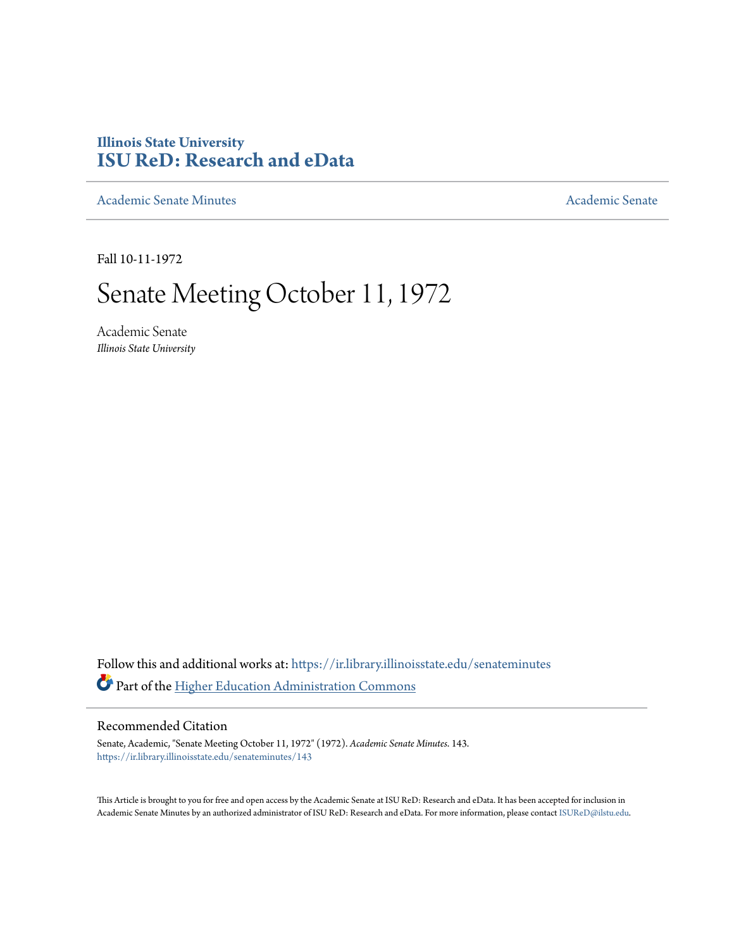# **Illinois State University [ISU ReD: Research and eData](https://ir.library.illinoisstate.edu?utm_source=ir.library.illinoisstate.edu%2Fsenateminutes%2F143&utm_medium=PDF&utm_campaign=PDFCoverPages)**

[Academic Senate Minutes](https://ir.library.illinoisstate.edu/senateminutes?utm_source=ir.library.illinoisstate.edu%2Fsenateminutes%2F143&utm_medium=PDF&utm_campaign=PDFCoverPages) [Academic Senate](https://ir.library.illinoisstate.edu/senate?utm_source=ir.library.illinoisstate.edu%2Fsenateminutes%2F143&utm_medium=PDF&utm_campaign=PDFCoverPages) Academic Senate

Fall 10-11-1972

# Senate Meeting October 11, 1972

Academic Senate *Illinois State University*

Follow this and additional works at: [https://ir.library.illinoisstate.edu/senateminutes](https://ir.library.illinoisstate.edu/senateminutes?utm_source=ir.library.illinoisstate.edu%2Fsenateminutes%2F143&utm_medium=PDF&utm_campaign=PDFCoverPages) Part of the [Higher Education Administration Commons](http://network.bepress.com/hgg/discipline/791?utm_source=ir.library.illinoisstate.edu%2Fsenateminutes%2F143&utm_medium=PDF&utm_campaign=PDFCoverPages)

# Recommended Citation

Senate, Academic, "Senate Meeting October 11, 1972" (1972). *Academic Senate Minutes*. 143. [https://ir.library.illinoisstate.edu/senateminutes/143](https://ir.library.illinoisstate.edu/senateminutes/143?utm_source=ir.library.illinoisstate.edu%2Fsenateminutes%2F143&utm_medium=PDF&utm_campaign=PDFCoverPages)

This Article is brought to you for free and open access by the Academic Senate at ISU ReD: Research and eData. It has been accepted for inclusion in Academic Senate Minutes by an authorized administrator of ISU ReD: Research and eData. For more information, please contact [ISUReD@ilstu.edu.](mailto:ISUReD@ilstu.edu)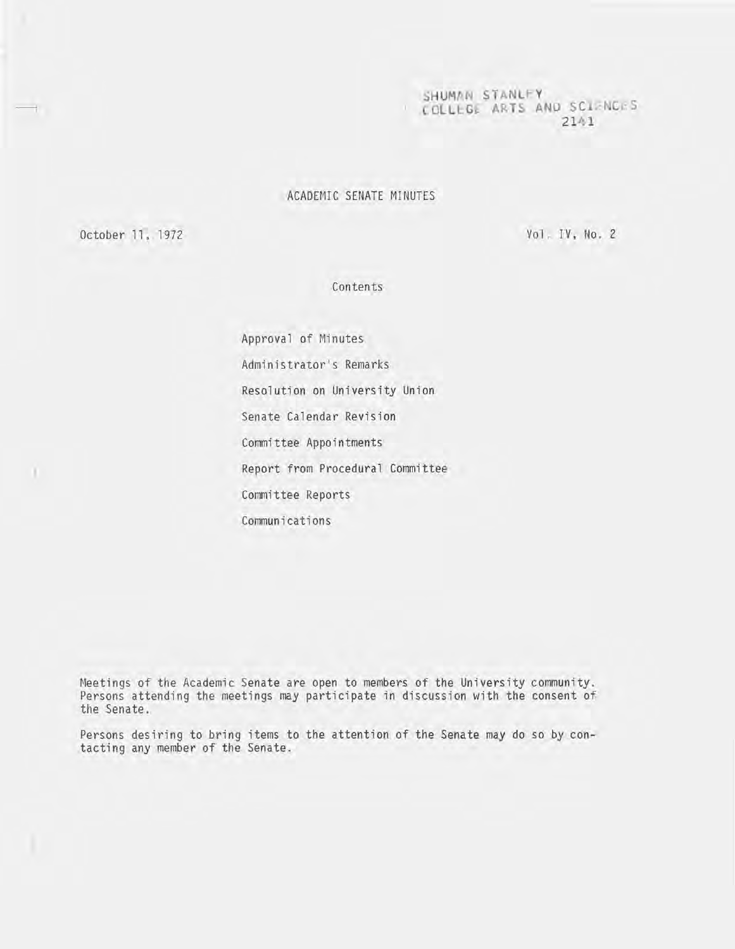SHUMAN STANLFY OLLEGE ARTS AND SCIENCES  $21/1$ 

#### ACADEMIC SENATE MINUTES

October 11, 1972

.

Vol. IV, No.2

### Contents

Approval of Minutes Administrator's Remarks Resolution on University Union Senate Calendar Revision Committee Appointments Report from Procedural Committee Committee Reports Communications

Neetings of the Academic Senate are open to members of the University community. Persons attending the meetings may participate in discussion with the consent of the Senate.

Persons desiring to bring items to the attention of the Senate may do so by contacting any member of the Senate.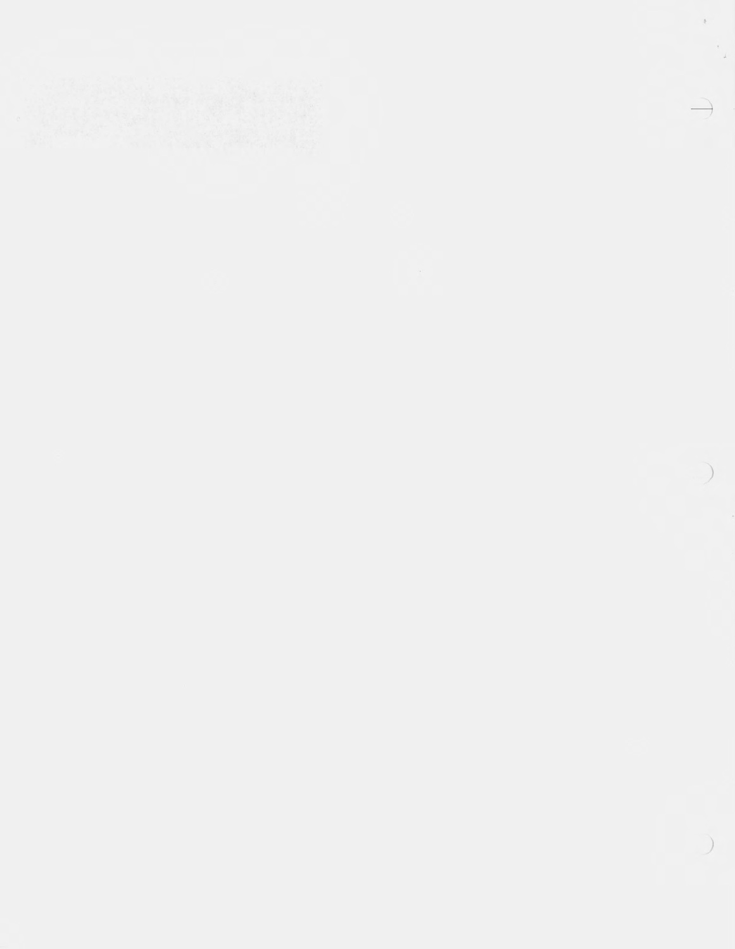$)$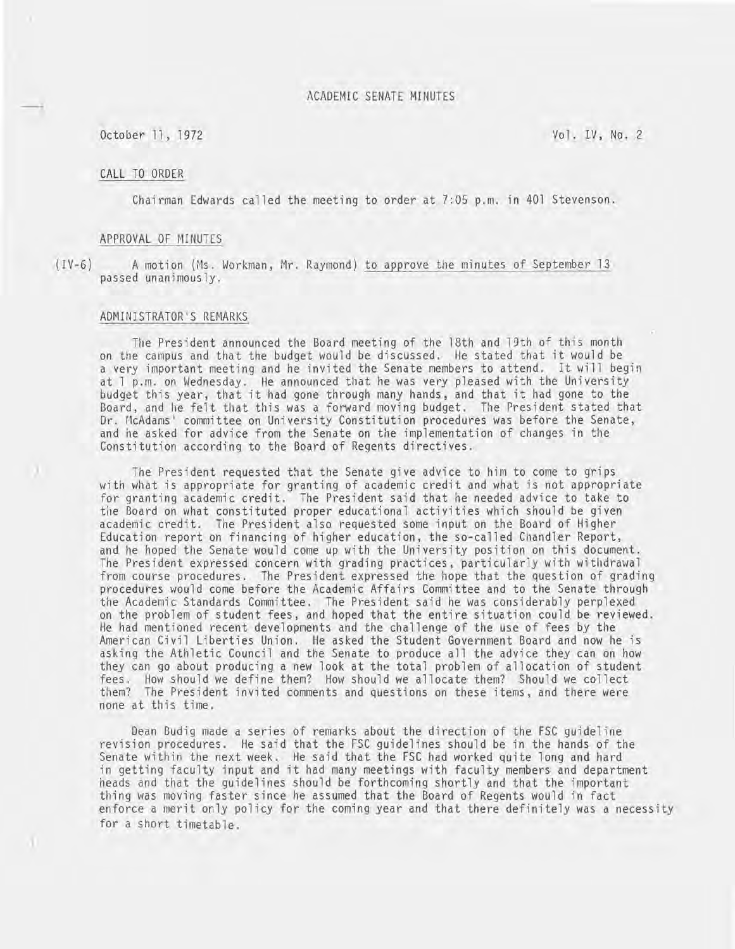## October 11, 1972 Vol. IV, No.2

#### CALL TO ORDER

)

Chairman Edwards called the meeting to order at 7:05 p.m. in 401 Stevenson.

#### APPROVAL OF MINUTES

(IV-6) A motion (Ms. Workman, Mr. Raymond) to approve the minutes of September 13 passed unanimously.

#### ADMINISTRATOR'S REMARKS

The President announced the Board meeting of the 18th and 19th of this month on the campus and that the budget would be discussed. He stated that it would be a very important meeting and he invited the Senate members to attend. It will begin at 1 p.m. on Wednesday. He announced that he was very pleased with the University budget this year, that it had gone through many hands, and that it had gone to the Board, and he felt that this was a forward moving budget. The President stated that Dr. McAdams' committee on University Constitution procedures was before the Senate, and he asked for advice from the Senate on the implementation of changes in the Constitution according to the Board of Regents directives.

The President requested that the Senate give advice to him to come to grips with what is appropriate for granting of academic credit and what is not appropriate for granting academic credit. The President said that he needed advice to take to the Board on what constituted proper educational activities which should be given academic credit. The President also requested some input on the Board of Higher Education report on financing of higher education, the so-called Chandler Report, and he hoped the Senate would come up with the University position on this document. The President expressed concern with grading practices, particularly with withdrawal from course procedures. The President expressed the hope that the question of grading procedures would come before the Academic Affairs Committee and to the Senate through the Academic Standards Committee. The President said he was considerably perplexed on the problem of student fees, and hoped that the entire situation could be reviewed. He had mentioned recent developments and the challenge of the use of fees by the American Civil Liberties Union. He asked the Student Government Board and now he is asking the Athletic Council and the Senate to produce all the advice they can on how they can go about producing a new look at the total problem of allocation of student fees. How should we define them? How should we allocate them? Should we collect them? The President invited comments and questions on these items, and there were none at this time.

Dean Budig made a series of remarks about the direction of the FSC guideline revision procedures. He said that the FSC guidelines should be in the hands of the Senate within the next week. He said that the FSC had worked quite long and hard in getting faculty input and it had many meetings with faculty members and department heads and that the guidelines should be forthcoming shortly and that the important thing was moving faster since he assumed that the Board of Regents would in fact enforce a merit only policy for the coming year and that there definitely was a necessity for a short timetable.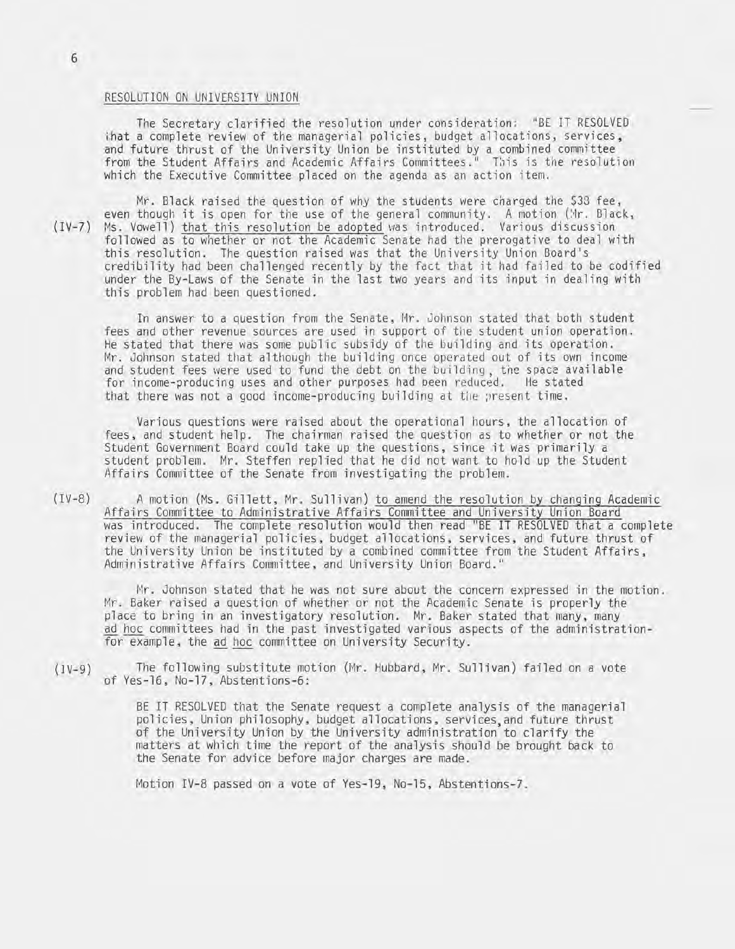#### RESOLUTION ON UNIVERSITY UNION

The Secretary clarified the resolution under consideration: "BE IT RESOLVED i:hat a complete review of the managerial policies, budget allocations, services, and future thrust of the University Union be instituted by a combined committee from the Student Affairs and Academic Affairs Committees." This is the resolution which the Executive Committee placed on the agenda as an action item.

Mr. Black raised the question of why the students were charged the \$33 fee, even though it is open for the use of the general community. A motion (Mr. Black, (IV-7) Ms. Vowell) that this resolution be adopted was introduced. Various discussion followed as to whether or not the Academic Senate had the prerogative to deal with this resolution. The question raised was that the University Union Board's credibility had been challenged recently by the fact that it had failed to be codified under the By-Laws of the Senate in the last two years and its input in dealing with this problem had been questioned.

In answer to a question from the Senate, Mr . Johnson stated that both student fees and other revenue sources are used in support of the student union operation. He stated that there was some public subsidy of the building and its operation. Mr. Johnson stated that although the building once operated out of its own income and student fees were used to fund the debt on the building, the space available for income-producing uses and other purposes had been reduced. He stated that there was not a good income-producing building at the present time.

Various questions were raised about the operational hours, the allocation of fees, and student help. The chairman raised the question as to whether or not the Student Government Board could take up the questions, since it was primarily a student problem. Mr. Steffen replied that he did not want to hold up the Student Affairs Committee of the Senate from investigating the problem.

(IV-8) A motion (Ms. Gillett, Mr. Sullivan) to amend the resolution by changing Academic Affairs Committee to Administrative Affairs Committee and University Union Board was introduced. The complete resolution would then read "BE IT RESOLVED that a complete review of the managerial policies, budget allocations, services, and future thrust of the University Union be instituted by a combined committee from the Student Affairs, Administrative Affairs Committee, and University Union Board. "

Mr. Johnson stated that he was not sure about the concern expressed in the motion. Mr. Baker raised a question of whether or not the Academic Senate is properly the place to bring in an investigatory resolution. Mr. Baker stated that many, many ad hoc committees had in the past investigated various aspects of the administrationfor example, the ad hoc committee on University Security.

(IV-9) The following substitute motion (Mr. Hubbard, Mr. Sullivan) failed on a vote of Yes-16, No-17, Abstentions-6:

> BE IT RESOLVED that the Senate request a complete analysis of the managerial policies, Union philosophy, budget allocations, services and future thrust of the University Union by the University administration to clarify the matters at which time the report of the analysis should be brought back to the Senate for advice before major charges are made.

Motion IV-8 passed on a vote of Yes-19, No-1S, Abstentions-7.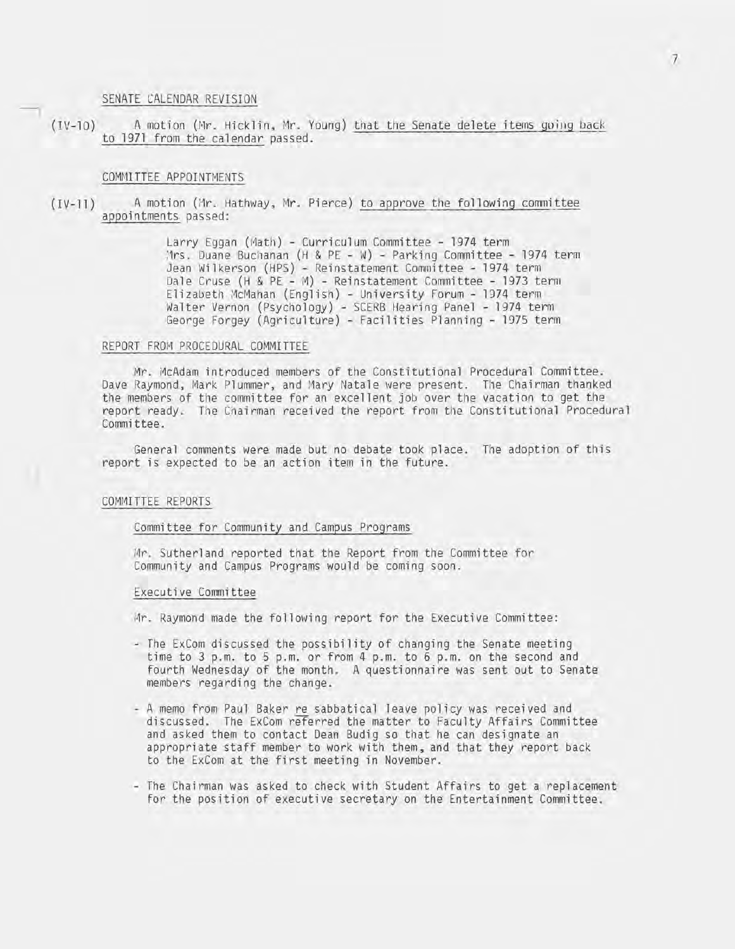#### SENATE CALENDAR REVISION

(IV-10) A motion (Mr. Hicklin, Mr. Young) that the Senate delete items going back. to 1971 from the calendar passed.

#### COMMITTEE APPOINTMENTS

(IV-11) A motion (Mr. Hathway, Mr. Pierce) to approve the following committee appointments passed:

> Larry Eggan (Math) - Curriculum Committee - 1974 term : Irs. Duane Buchanan (H & PE - W) - Parking Committee - 1974 term Jean Wilkerson (HPS) - Reinstatement Committee - 1974 term Dale Cruse (H & PE - M) - Reinstatement Committee - 1973 term Elizabeth McMahan (English) - University Forum - 1974 term Walter Vernon (Psychology) - SCERB Hearing Panel - 1974 term George Forgey (Agriculture) - Facilities Planning - 1975 term

#### REPORT FROM PROCEDURAL COMMITTEE

Mr. McAdam introduced members of the Constitutional Procedural Committee. Dave Raymond, Mark Plummer, and Mary Natale were present. The Chairman thanked the members of the committee for an excellent job over the vacation to get the report ready. The Chairman received the report from the Constitutional Procedural Committee.

General comments were made but no debate took place. The adoption of this report is expected to be an action item in the future.

#### COMMITTEE REPORTS

#### Committee for Community and Campus Programs

Mr. Sutherland reported that the Report from the Committee for Community and Campus Programs would be coming soon.

#### Executive Committee

Mr. Raymond made the following report for the Executive Committee:

- The ExCom discussed the possibility of changing the Senate meeting time to 3 p.m. to 5 p.m. or from 4 p.m. to 6 p.m. on the second and fourth Wednesday of the month. A questionnaire was sent out to Senate members regarding the change.
- A memo from Paul Baker re sabbatical leave policy was received and discussed. The ExCom referred the matter to Faculty Affairs Committee and asked them to contact Dean Budig so that he can designate an appropriate staff member to work with them, and that they report back to the ExCom at the first meeting in November.
- The Chairman was asked to check with Student Affairs to get a replacement for the position of executive secretary on the Entertainment Committee.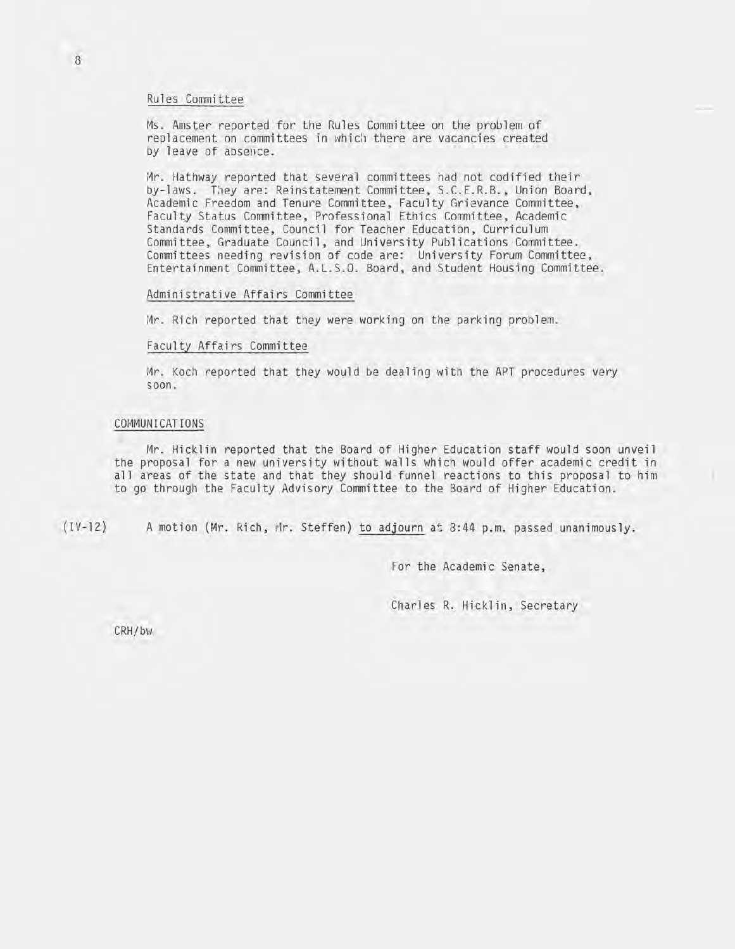#### Rules Committee

Ms. Amster reported for the Rules Committee on the problem of replacement on committees in which there are vacancies created by leave of absence.

Mr. Hathway reported that several committees had not codified their by-laws. They are: Reinstatement Committee, S.C.E.R.B., Union Board, Academic Freedom and Tenure Committee. Faculty Grievance Committee. Faculty Status Committee. Professional Ethics Committee. Academic Standards Committee, Council for Teacher Education, Curriculum Committee. Graduate Council. and University Publications Committee. Committees needing revision of code are: University Forum Committee. Entertainment Committee. A.L.S.O. Board. and Student Housing Committee.

#### Administrative Affairs Committee

 $Mr.$  Rich reported that they were working on the parking problem.

#### Faculty Affairs Committee

Mr. Koch reported that they would be dealing with the APT procedures very soon.

#### COMMUNICATIONS

Mr. Hicklin reported that the Board of Higher Education staff would soon unveil the proposal for a new university without walls which would offer academic credit in **all** areas of the state and that they should funnel reactions to this proposal to him to go through the Faculty Advisory Committee to the Board of Higher Education.

(IV-12) A motion (Mr. Rich. Mr. Steffen) to adjourn at 8:44 p.m. passed unanimously.

For the Academic Senate.

Charles R. Hicklin, Secretary

CRH/bw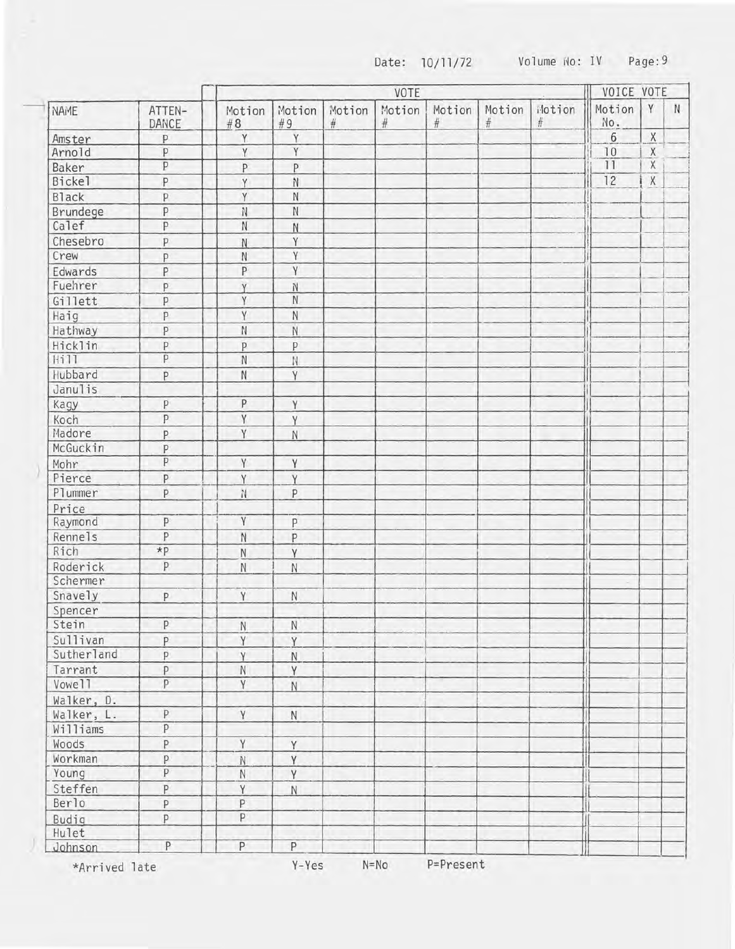Date: 10/11/72 Volume No: IV Page: 9

|               |                 | VOTE           |                |                |                |                |                |                | VOICE VOTE      |             |              |
|---------------|-----------------|----------------|----------------|----------------|----------------|----------------|----------------|----------------|-----------------|-------------|--------------|
| NAME          | ATTEN-<br>DANCE | Motion<br>#8   | Motion<br>#9   | Motion<br>$\#$ | Motion<br>$\#$ | Motion<br>$\#$ | Motion<br>$\#$ | Motion<br>$\#$ | Motion<br>No.   | Y           | $\mathsf{N}$ |
| Amster        | P.              | Y              | Ÿ              |                |                |                |                |                | 6               | $\mathsf X$ |              |
| Arnold        | $\mathsf{P}$    | Υ              | Y              |                |                |                |                |                | 10              | X           |              |
| Baker         | $\overline{P}$  | P              | P              |                |                |                |                |                | $\overline{11}$ | $\chi$      |              |
| <b>Bickel</b> | $\mathsf{P}$    | Y              | $\mathbf N$    |                |                |                |                |                | 12              | $\chi$      |              |
| Black         | P               | Y              | ${\sf N}$      |                |                |                |                |                |                 |             |              |
| Brundege      | $\mathsf{P}$    | $\rm \ddot N$  | $\mathbb N$    |                |                |                |                |                |                 |             |              |
| Calef         | $\overline{P}$  | ${\sf N}$      | $\mathsf{N}$   |                |                |                |                |                |                 |             |              |
| Chesebro      | $\mathsf{P}$    | N              | Y              |                |                |                |                |                |                 |             |              |
| Crew          | P               | N              | Y              |                |                |                |                |                |                 |             |              |
| Edwards       | P               | P              | Ÿ              |                |                |                |                |                |                 |             |              |
| Fuehrer       | $\mathsf{p}$    | Y              | $\overline{N}$ |                |                |                |                |                |                 |             |              |
| Gillett       | $\, {\sf p}$    | Y              | N              |                |                |                |                |                |                 |             |              |
| Haig          | $\overline{P}$  | Ÿ              | N              |                |                |                |                |                |                 |             |              |
| Hathway       | P               | N              | Ń              |                |                |                |                |                |                 |             |              |
| Hicklin       | $\mathsf{P}$    | P              | P              |                |                |                |                |                |                 |             |              |
| Hi11          | $\overline{P}$  | ${\sf N}$      | N              |                |                |                |                |                |                 |             |              |
| Hubbard       | P               | ${\sf N}$      | Y              |                |                |                |                |                |                 |             |              |
| Janulis       |                 |                |                |                |                |                |                |                |                 |             |              |
| Kagy          | P               | $\mathsf{P}$   | Y              |                |                |                |                |                |                 |             |              |
| Koch          | P               | Ÿ              | Ÿ              |                |                |                |                |                |                 |             |              |
| Madore        | $\mathsf{P}$    | Y              | $\mathbb N$    |                |                |                |                |                |                 |             |              |
| McGuckin      | $\, {\sf p}$    |                |                |                |                |                |                |                |                 |             |              |
| Mohr          | $\overline{P}$  | Y              | Y              |                |                |                |                |                |                 |             |              |
| Pierce        | $\mathsf{P}$    | Y              | Ÿ              |                |                |                |                |                |                 |             |              |
| Plummer       | P               | N              | P              |                |                |                |                |                |                 |             |              |
| Price         |                 |                |                |                |                |                |                |                |                 |             |              |
| Raymond       | P               | Y              | P              |                |                |                |                |                |                 |             |              |
| Rennels       | $\overline{P}$  | ${\sf N}$      | P              |                |                |                |                |                |                 |             |              |
| Rich          | $\star$ p       | $\,$ N         | Y              |                |                |                |                |                |                 |             |              |
| Roderick      | P               | ${\sf N}$      | $\mathsf{N}$   |                |                |                |                |                |                 |             |              |
| Schermer      |                 |                |                |                |                |                |                |                |                 |             |              |
| Snavely       | $\sf P$         | Y              | ${\sf N}$      |                |                |                |                |                |                 |             |              |
| Spencer       |                 |                |                |                |                |                |                |                |                 |             |              |
| Stein         | P               | ${\sf N}$      | N              |                |                |                |                |                |                 |             |              |
| Sullivan      | $\mathsf{P}$    | Y              | Y              |                |                |                |                |                |                 |             |              |
| Sutherland    | P               | Y              | $\overline{N}$ |                |                |                |                |                |                 |             |              |
| Tarrant       | $\mathsf{P}$    | ${\sf N}$      | Y              |                |                |                |                |                |                 |             |              |
| Vowel1        | $\overline{P}$  | $\overline{Y}$ | $\mathsf{N}$   |                |                |                |                |                |                 |             |              |
| Walker, D.    |                 |                |                |                |                |                |                |                |                 |             |              |
| Walker, L.    | $\overline{P}$  | Y              | ${\sf N}$      |                |                |                |                |                |                 |             |              |
| Williams      | $\overline{P}$  |                |                |                |                |                |                |                |                 |             |              |
| Woods         | $\, {\sf P}$    | Ÿ              | Y              |                |                |                |                |                |                 |             |              |
| Workman       | $\overline{P}$  | N              | $\overline{Y}$ |                |                |                |                |                |                 |             |              |
| Young         | $\overline{P}$  | ${\sf N}$      | $\overline{Y}$ |                |                |                |                |                |                 |             |              |
| Steffen       | P               | Y              | ${\sf N}$      |                |                |                |                |                |                 |             |              |
| Berlo         | $\, {\sf p}$    | $\overline{P}$ |                |                |                |                |                |                |                 |             |              |
| Budig         | P               | $\overline{P}$ |                |                |                |                |                |                |                 |             |              |
| Hulet         |                 |                |                |                |                |                |                |                |                 |             |              |
| Johnson       | P               | P              | P              |                |                |                |                |                |                 |             |              |
|               |                 |                |                |                |                |                |                |                |                 |             |              |

\*Arrived late

Ĵ.

Y-Yes N=No P=Present